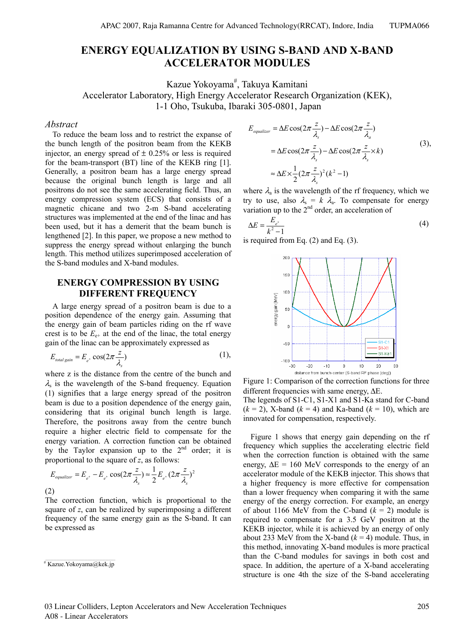# **ENERGY EQUALIZATION BY USING S-BAND AND X-BAND ACCELERATOR MODULES**

Kazue Yokoyama<sup>#</sup>, Takuya Kamitani Accelerator Laboratory, High Energy Accelerator Research Organization (KEK), 1-1 Oho, Tsukuba, Ibaraki 305-0801, Japan

#### *Abstract*

To reduce the beam loss and to restrict the expanse of the bunch length of the positron beam from the KEKB injector, an energy spread of  $\pm$  0.25% or less is required for the beam-transport (BT) line of the KEKB ring [1]. Generally, a positron beam has a large energy spread because the original bunch length is large and all positrons do not see the same accelerating field. Thus, an energy compression system (ECS) that consists of a magnetic chicane and two 2-m S-band accelerating structures was implemented at the end of the linac and has been used, but it has a demerit that the beam bunch is lengthened [2]. In this paper, we propose a new method to suppress the energy spread without enlarging the bunch length. This method utilizes superimposed acceleration of the S-band modules and X-band modules.

### **ENERGY COMPRESSION BY USING DIFFERENT FREQUENCY**

A large energy spread of a positron beam is due to a position dependence of the energy gain. Assuming that the energy gain of beam particles riding on the rf wave crest is to be  $E_{e+}$  at the end of the linac, the total energy gain of the linac can be approximately expressed as

$$
E_{\text{total gain}} = E_{e^+} \cos(2\pi \frac{z}{\lambda_s}) \tag{1},
$$

where z is the distance from the centre of the bunch and  $\lambda_s$  is the wavelength of the S-band frequency. Equation (1) signifies that a large energy spread of the positron beam is due to a position dependence of the energy gain, considering that its original bunch length is large. Therefore, the positrons away from the centre bunch require a higher electric field to compensate for the energy variation. A correction function can be obtained by the Taylor expansion up to the  $2<sup>nd</sup>$  order; it is proportional to the square of *z*, as follows:

$$
E_{equalizer} = E_{e^+} - E_{e^+} \cos(2\pi \frac{z}{\lambda_s}) \approx \frac{1}{2} E_{e^+} (2\pi \frac{z}{\lambda_s})^2
$$
\n(2)

The correction function, which is proportional to the square of *z*, can be realized by superimposing a different frequency of the same energy gain as the S-band. It can be expressed as

$$
E_{equalizer} = \Delta E \cos(2\pi \frac{z}{\lambda_s}) - \Delta E \cos(2\pi \frac{z}{\lambda_a})
$$
  
=  $\Delta E \cos(2\pi \frac{z}{\lambda_s}) - \Delta E \cos(2\pi \frac{z}{\lambda_s} \times k)$  (3),  

$$
\approx \Delta E \times \frac{1}{2} (2\pi \frac{z}{\lambda_s})^2 (k^2 - 1)
$$

where  $\lambda_a$  is the wavelength of the rf frequency, which we try to use, also  $\lambda_s = k \lambda_a$ . To compensate for energy variation up to the  $2<sup>nd</sup>$  order, an acceleration of

$$
\Delta E = \frac{E_{e^+}}{k^2 - 1} \tag{4}
$$

is required from Eq. (2) and Eq. (3).



Figure 1: Comparison of the correction functions for three different frequencies with same energy, ΔE. The legends of S1-C1, S1-X1 and S1-Ka stand for C-band  $(k = 2)$ , X-band  $(k = 4)$  and Ka-band  $(k = 10)$ , which are

innovated for compensation, respectively.

Figure 1 shows that energy gain depending on the rf frequency which supplies the accelerating electric field when the correction function is obtained with the same energy,  $\Delta E = 160$  MeV corresponds to the energy of an accelerator module of the KEKB injector. This shows that a higher frequency is more effective for compensation than a lower frequency when comparing it with the same energy of the energy correction. For example, an energy of about 1166 MeV from the C-band  $(k = 2)$  module is required to compensate for a 3.5 GeV positron at the KEKB injector, while it is achieved by an energy of only about 233 MeV from the X-band  $(k = 4)$  module. Thus, in this method, innovating X-band modules is more practical than the C-band modules for savings in both cost and space. In addition, the aperture of a X-band accelerating structure is one 4th the size of the S-band accelerating

<sup>#</sup> Kazue.Yokoyama@kek.jp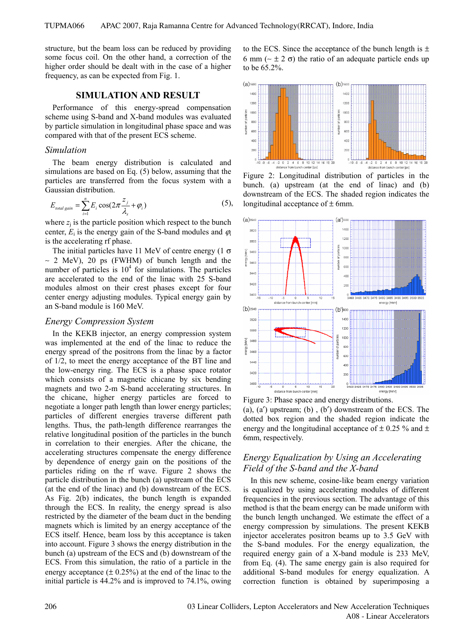structure, but the beam loss can be reduced by providing some focus coil. On the other hand, a correction of the higher order should be dealt with in the case of a higher frequency, as can be expected from Fig. 1.

#### **SIMULATION AND RESULT**

Performance of this energy-spread compensation scheme using S-band and X-band modules was evaluated by particle simulation in longitudinal phase space and was compared with that of the present ECS scheme.

### *Simulation*

The beam energy distribution is calculated and simulations are based on Eq. (5) below, assuming that the particles are transferred from the focus system with a Gaussian distribution.

$$
E_{\text{total gain}} = \sum_{i=1}^{n} E_i \cos(2\pi \frac{z_j}{\lambda_s} + \varphi_i)
$$
 (5),

where  $z_i$  is the particle position which respect to the bunch center,  $E_i$  is the energy gain of the S-band modules and  $\varphi_i$ is the accelerating rf phase.

The initial particles have 11 MeV of centre energy (1  $\sigma$ )  $~\sim$  2 MeV), 20 ps (FWHM) of bunch length and the number of particles is  $10<sup>4</sup>$  for simulations. The particles are accelerated to the end of the linac with 25 S-band modules almost on their crest phases except for four center energy adjusting modules. Typical energy gain by an S-band module is 160 MeV.

### *Energy Compression System*

In the KEKB injector, an energy compression system was implemented at the end of the linac to reduce the energy spread of the positrons from the linac by a factor of 1/2, to meet the energy acceptance of the BT line and the low-energy ring. The ECS is a phase space rotator which consists of a magnetic chicane by six bending magnets and two 2-m S-band accelerating structures. In the chicane, higher energy particles are forced to negotiate a longer path length than lower energy particles; particles of different energies traverse different path lengths. Thus, the path-length difference rearranges the relative longitudinal position of the particles in the bunch in correlation to their energies. After the chicane, the accelerating structures compensate the energy difference by dependence of energy gain on the positions of the particles riding on the rf wave. Figure 2 shows the particle distribution in the bunch (a) upstream of the ECS (at the end of the linac) and (b) downstream of the ECS. As Fig. 2(b) indicates, the bunch length is expanded through the ECS. In reality, the energy spread is also restricted by the diameter of the beam duct in the bending magnets which is limited by an energy acceptance of the ECS itself. Hence, beam loss by this acceptance is taken into account. Figure 3 shows the energy distribution in the bunch (a) upstream of the ECS and (b) downstream of the ECS. From this simulation, the ratio of a particle in the energy acceptance  $(\pm 0.25\%)$  at the end of the linac to the initial particle is 44.2% and is improved to 74.1%, owing to the ECS. Since the acceptance of the bunch length is  $\pm$ 6 mm (∼ ± 2 σ) the ratio of an adequate particle ends up to be 65.2%.



Figure 2: Longitudinal distribution of particles in the bunch. (a) upstream (at the end of linac) and (b) downstream of the ECS. The shaded region indicates the longitudinal acceptance of  $\pm$  6mm.



(a), (a′) upstream; (b) , (b′) downstream of the ECS. The dotted box region and the shaded region indicate the energy and the longitudinal acceptance of  $\pm$  0.25 % and  $\pm$ 6mm, respectively.

## *Energy Equalization by Using an Accelerating Field of the S-band and the X-band*

In this new scheme, cosine-like beam energy variation is equalized by using accelerating modules of different frequencies in the previous section. The advantage of this method is that the beam energy can be made uniform with the bunch length unchanged. We estimate the effect of a energy compression by simulations. The present KEKB injector accelerates positron beams up to 3.5 GeV with the S-band modules. For the energy equalization, the required energy gain of a X-band module is 233 MeV, from Eq. (4). The same energy gain is also required for additional S-band modules for energy equalization. A correction function is obtained by superimposing a